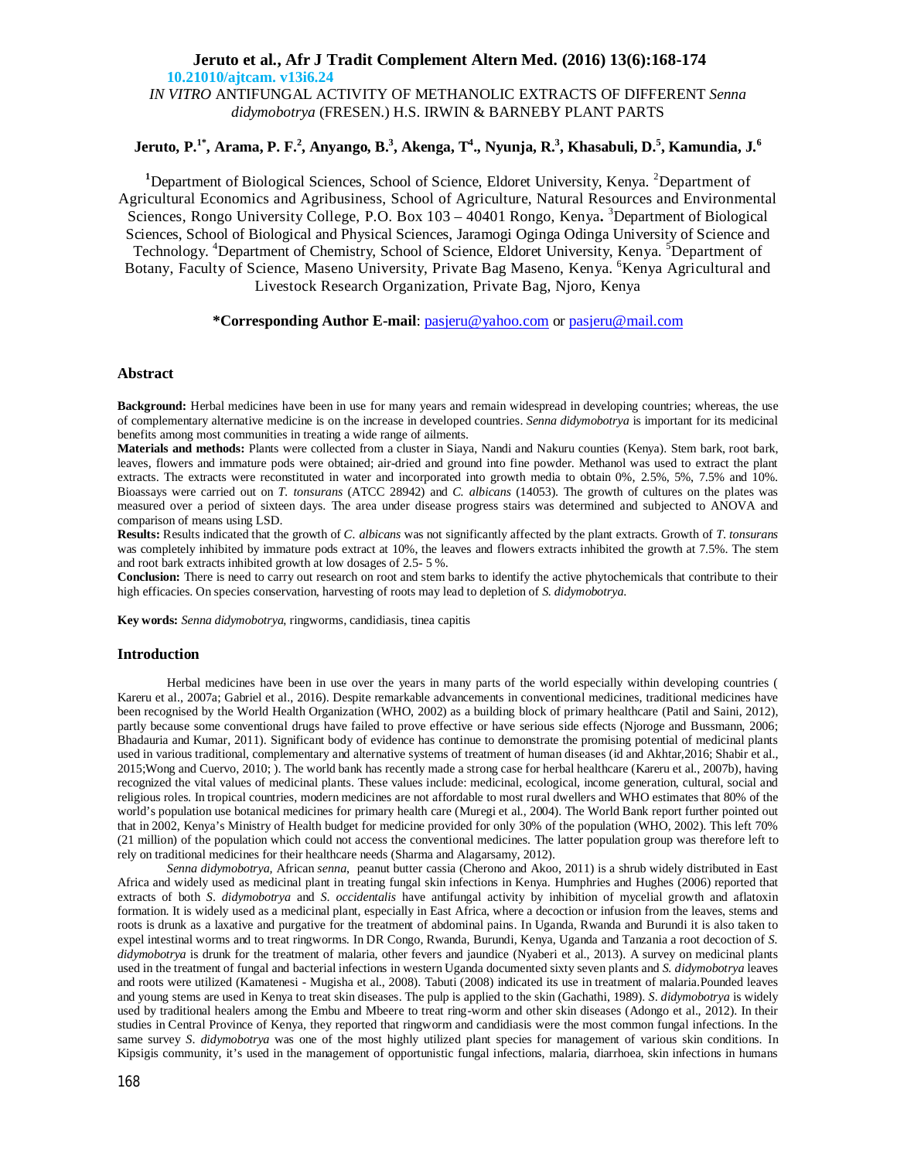# **Jeruto et al., Afr J Tradit Complement Altern Med. (2016) 13(6):168-174 10.21010/ajtcam. v13i6.24** *IN VITRO* ANTIFUNGAL ACTIVITY OF METHANOLIC EXTRACTS OF DIFFERENT *Senna didymobotrya* (FRESEN.) H.S. IRWIN & BARNEBY PLANT PARTS

# **Jeruto, P.1\*, Arama, P. F.<sup>2</sup> , Anyango, B.<sup>3</sup> , Akenga, T<sup>4</sup> ., Nyunja, R.<sup>3</sup> , Khasabuli, D.<sup>5</sup> , Kamundia, J.<sup>6</sup>**

<sup>1</sup>Department of Biological Sciences, School of Science, Eldoret University, Kenya. <sup>2</sup>Department of Agricultural Economics and Agribusiness, School of Agriculture, Natural Resources and Environmental Sciences, Rongo University College, P.O. Box 103 – 40401 Rongo, Kenya**.** <sup>3</sup>Department of Biological Sciences, School of Biological and Physical Sciences, Jaramogi Oginga Odinga University of Science and Technology. <sup>4</sup>Department of Chemistry, School of Science, Eldoret University, Kenya. <sup>5</sup>Department of Botany, Faculty of Science, Maseno University, Private Bag Maseno, Kenya. <sup>6</sup>Kenya Agricultural and Livestock Research Organization, Private Bag, Njoro, Kenya

## **\*Corresponding Author E-mail**: pasjeru@yahoo.com or pasjeru@mail.com

## **Abstract**

**Background:** Herbal medicines have been in use for many years and remain widespread in developing countries; whereas, the use of complementary alternative medicine is on the increase in developed countries. *Senna didymobotrya* is important for its medicinal benefits among most communities in treating a wide range of ailments.

**Materials and methods:** Plants were collected from a cluster in Siaya, Nandi and Nakuru counties (Kenya). Stem bark, root bark, leaves, flowers and immature pods were obtained; air-dried and ground into fine powder. Methanol was used to extract the plant extracts. The extracts were reconstituted in water and incorporated into growth media to obtain 0%, 2.5%, 5%, 7.5% and 10%. Bioassays were carried out on *T. tonsurans* (ATCC 28942) and *C. albicans* (14053). The growth of cultures on the plates was measured over a period of sixteen days. The area under disease progress stairs was determined and subjected to ANOVA and comparison of means using LSD.

**Results:** Results indicated that the growth of *C. albicans* was not significantly affected by the plant extracts. Growth of *T*. *tonsurans* was completely inhibited by immature pods extract at 10%, the leaves and flowers extracts inhibited the growth at 7.5%. The stem and root bark extracts inhibited growth at low dosages of 2.5- 5 %.

**Conclusion:** There is need to carry out research on root and stem barks to identify the active phytochemicals that contribute to their high efficacies. On species conservation, harvesting of roots may lead to depletion of *S. didymobotrya*.

**Key words:** *Senna didymobotrya*, ringworms, candidiasis, tinea capitis

### **Introduction**

Herbal medicines have been in use over the years in many parts of the world especially within developing countries ( Kareru et al., 2007a; Gabriel et al., 2016). Despite remarkable advancements in conventional medicines, traditional medicines have been recognised by the World Health Organization (WHO, 2002) as a building block of primary healthcare (Patil and Saini, 2012), partly because some conventional drugs have failed to prove effective or have serious side effects (Njoroge and Bussmann, 2006; Bhadauria and Kumar, 2011). Significant body of evidence has continue to demonstrate the promising potential of medicinal plants used in various traditional, complementary and alternative systems of treatment of human diseases (id and Akhtar,2016; Shabir et al., 2015;Wong and Cuervo, 2010; ). The world bank has recently made a strong case for herbal healthcare (Kareru et al., 2007b), having recognized the vital values of medicinal plants. These values include: medicinal, ecological, income generation, cultural, social and religious roles. In tropical countries, modern medicines are not affordable to most rural dwellers and WHO estimates that 80% of the world's population use botanical medicines for primary health care (Muregi et al., 2004). The World Bank report further pointed out that in 2002, Kenya's Ministry of Health budget for medicine provided for only 30% of the population (WHO, 2002). This left 70% (21 million) of the population which could not access the conventional medicines. The latter population group was therefore left to rely on traditional medicines for their healthcare needs (Sharma and Alagarsamy, 2012).

*Senna didymobotrya,* African *senna*, peanut butter cassia (Cherono and Akoo, 2011) is a shrub widely distributed in East Africa and widely used as medicinal plant in treating fungal skin infections in Kenya. Humphries and Hughes (2006) reported that extracts of both *S*. *didymobotrya* and *S*. *occidentalis* have antifungal activity by inhibition of mycelial growth and aflatoxin formation. It is widely used as a medicinal plant, especially in East Africa, where a decoction or infusion from the leaves, stems and roots is drunk as a laxative and purgative for the treatment of abdominal pains. In Uganda, Rwanda and Burundi it is also taken to expel intestinal worms and to treat ringworms. In DR Congo, Rwanda, Burundi, Kenya, Uganda and Tanzania a root decoction of *S. didymobotrya* is drunk for the treatment of malaria, other fevers and jaundice (Nyaberi et al., 2013). A survey on medicinal plants used in the treatment of fungal and bacterial infections in western Uganda documented sixty seven plants and *S. didymobotrya* leaves and roots were utilized (Kamatenesi - Mugisha et al., 2008). Tabuti (2008) indicated its use in treatment of malaria.Pounded leaves and young stems are used in Kenya to treat skin diseases. The pulp is applied to the skin (Gachathi, 1989). *S*. *didymobotrya* is widely used by traditional healers among the Embu and Mbeere to treat ring-worm and other skin diseases (Adongo et al., 2012). In their studies in Central Province of Kenya, they reported that ringworm and candidiasis were the most common fungal infections. In the same survey *S*. *didymobotrya* was one of the most highly utilized plant species for management of various skin conditions. In Kipsigis community, it's used in the management of opportunistic fungal infections, malaria, diarrhoea, skin infections in humans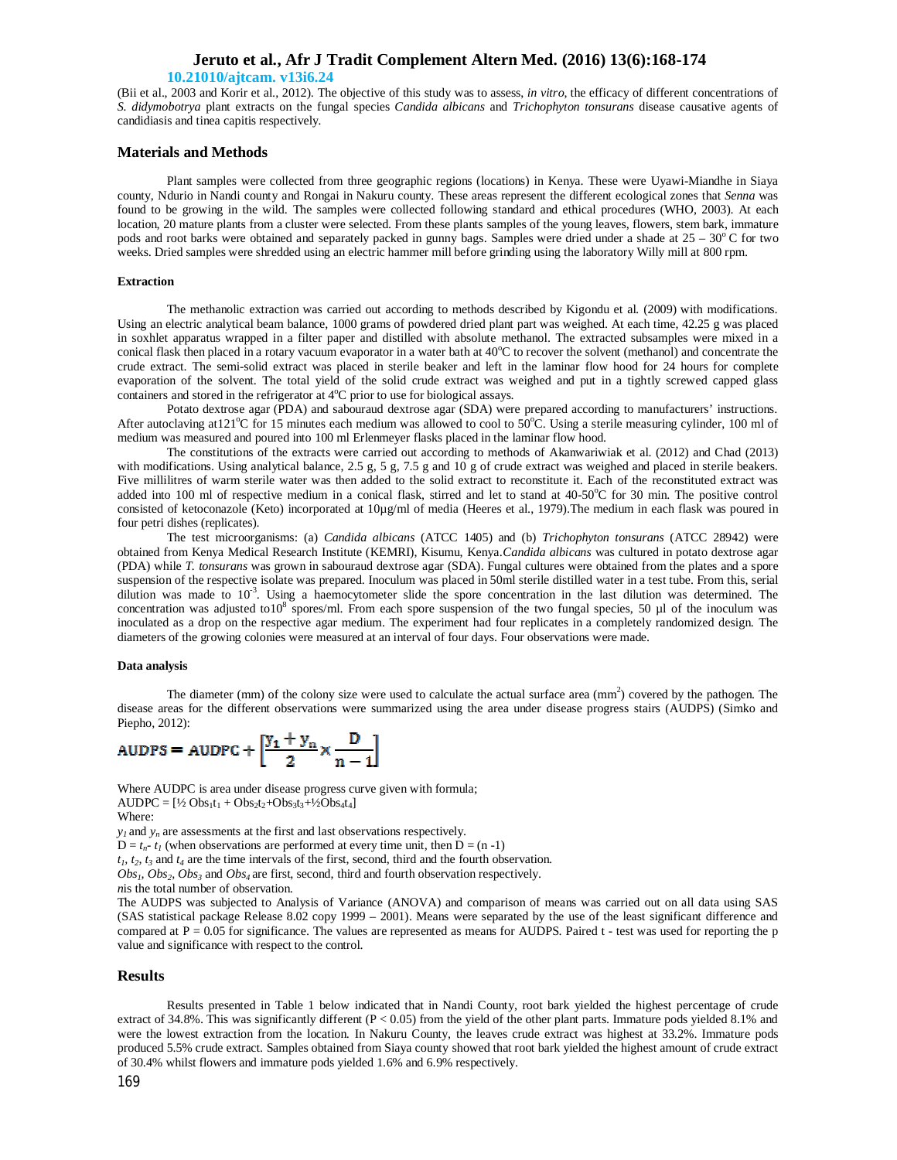### **10.21010/ajtcam. v13i6.24**

(Bii et al., 2003 and Korir et al., 2012). The objective of this study was to assess, *in vitro*, the efficacy of different concentrations of *S. didymobotrya* plant extracts on the fungal species *Candida albicans* and *Trichophyton tonsurans* disease causative agents of candidiasis and tinea capitis respectively*.*

### **Materials and Methods**

Plant samples were collected from three geographic regions (locations) in Kenya. These were Uyawi-Miandhe in Siaya county, Ndurio in Nandi county and Rongai in Nakuru county. These areas represent the different ecological zones that *Senna* was found to be growing in the wild. The samples were collected following standard and ethical procedures (WHO, 2003). At each location, 20 mature plants from a cluster were selected. From these plants samples of the young leaves, flowers, stem bark, immature pods and root barks were obtained and separately packed in gunny bags. Samples were dried under a shade at  $25 - 30^{\circ}$  C for two weeks. Dried samples were shredded using an electric hammer mill before grinding using the laboratory Willy mill at 800 rpm.

### **Extraction**

The methanolic extraction was carried out according to methods described by Kigondu et al*.* (2009) with modifications. Using an electric analytical beam balance, 1000 grams of powdered dried plant part was weighed. At each time, 42.25 g was placed in soxhlet apparatus wrapped in a filter paper and distilled with absolute methanol. The extracted subsamples were mixed in a conical flask then placed in a rotary vacuum evaporator in a water bath at  $40^{\circ}$ C to recover the solvent (methanol) and concentrate the crude extract. The semi-solid extract was placed in sterile beaker and left in the laminar flow hood for 24 hours for complete evaporation of the solvent. The total yield of the solid crude extract was weighed and put in a tightly screwed capped glass containers and stored in the refrigerator at 4°C prior to use for biological assays.

Potato dextrose agar (PDA) and sabouraud dextrose agar (SDA) were prepared according to manufacturers' instructions. After autoclaving at 121 $^{\circ}$ C for 15 minutes each medium was allowed to cool to 50 $^{\circ}$ C. Using a sterile measuring cylinder, 100 ml of medium was measured and poured into 100 ml Erlenmeyer flasks placed in the laminar flow hood.

The constitutions of the extracts were carried out according to methods of Akanwariwiak et al. (2012) and Chad (2013) with modifications. Using analytical balance, 2.5 g, 5 g, 7.5 g and 10 g of crude extract was weighed and placed in sterile beakers. Five millilitres of warm sterile water was then added to the solid extract to reconstitute it. Each of the reconstituted extract was added into 100 ml of respective medium in a conical flask, stirred and let to stand at  $40-50^{\circ}$ C for 30 min. The positive control consisted of ketoconazole (Keto) incorporated at 10µg/ml of media (Heeres et al., 1979).The medium in each flask was poured in four petri dishes (replicates).

The test microorganisms: (a) *Candida albicans* (ATCC 1405) and (b) *Trichophyton tonsurans* (ATCC 28942) were obtained from Kenya Medical Research Institute (KEMRI), Kisumu, Kenya.*Candida albicans* was cultured in potato dextrose agar (PDA) while *T. tonsurans* was grown in sabouraud dextrose agar (SDA). Fungal cultures were obtained from the plates and a spore suspension of the respective isolate was prepared. Inoculum was placed in 50ml sterile distilled water in a test tube. From this, serial dilution was made to  $10^{-3}$ . Using a haemocytometer slide the spore concentration in the last dilution was determined. The concentration was adjusted to10 $8$  spores/ml. From each spore suspension of the two fungal species, 50 µl of the inoculum was inoculated as a drop on the respective agar medium. The experiment had four replicates in a completely randomized design. The diameters of the growing colonies were measured at an interval of four days. Four observations were made.

#### **Data analysis**

The diameter (mm) of the colony size were used to calculate the actual surface area  $\text{(mm}^2)$  covered by the pathogen. The disease areas for the different observations were summarized using the area under disease progress stairs (AUDPS) (Simko and Piepho, 2012):

$$
AUDPS = AUDPC + \left[\frac{y_1 + y_n}{2} \times \frac{D}{n-1}\right]
$$

Where AUDPC is area under disease progress curve given with formula;  $AUDPC = [\frac{1}{2} Obs_1 t_1 + Obs_2 t_2 + Obs_3 t_3 + \frac{1}{2}Obs_4 t_4]$ Where:

 $y_l$  and  $y_n$  are assessments at the first and last observations respectively.

 $D = t_n$ -  $t_1$  (when observations are performed at every time unit, then  $D = (n - 1)$ )

 $t_1$ ,  $t_2$ ,  $t_3$  and  $t_4$  are the time intervals of the first, second, third and the fourth observation.

*Obs1, Obs2, Obs<sup>3</sup>* and *Obs4* are first, second, third and fourth observation respectively.

*n*is the total number of observation.

The AUDPS was subjected to Analysis of Variance (ANOVA) and comparison of means was carried out on all data using SAS (SAS statistical package Release 8.02 copy 1999 – 2001). Means were separated by the use of the least significant difference and compared at  $P = 0.05$  for significance. The values are represented as means for AUDPS. Paired t - test was used for reporting the p value and significance with respect to the control.

#### **Results**

Results presented in Table 1 below indicated that in Nandi County, root bark yielded the highest percentage of crude extract of 34.8%. This was significantly different ( $P < 0.05$ ) from the yield of the other plant parts. Immature pods yielded 8.1% and were the lowest extraction from the location. In Nakuru County, the leaves crude extract was highest at 33.2%. Immature pods produced 5.5% crude extract. Samples obtained from Siaya county showed that root bark yielded the highest amount of crude extract of 30.4% whilst flowers and immature pods yielded 1.6% and 6.9% respectively.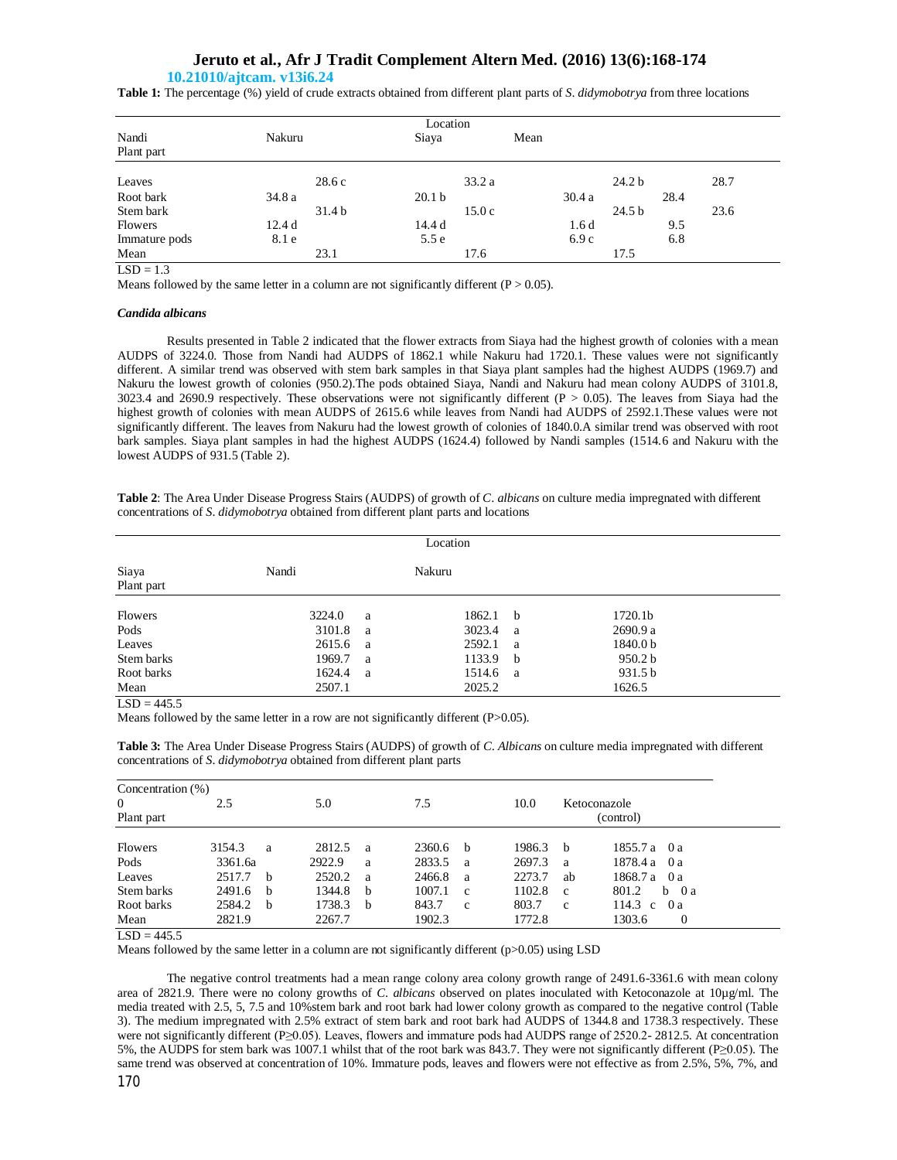### **10.21010/ajtcam. v13i6.24**

**Table 1:** The percentage (%) yield of crude extracts obtained from different plant parts of *S*. *didymobotrya* from three locations

| Location       |                   |                   |       |                   |      |  |  |
|----------------|-------------------|-------------------|-------|-------------------|------|--|--|
| Nandi          | Nakuru            | Siaya             | Mean  |                   |      |  |  |
| Plant part     |                   |                   |       |                   |      |  |  |
| Leaves         | 28.6c             | 33.2a             |       | 24.2 <sub>b</sub> | 28.7 |  |  |
| Root bark      | 34.8 a            | 20.1 <sub>b</sub> | 30.4a | 28.4              |      |  |  |
| Stem bark      | 31.4 <sub>b</sub> | 15.0c             |       | 24.5 <sub>b</sub> | 23.6 |  |  |
| <b>Flowers</b> | 12.4 d            | 14.4 d            | 1.6d  | 9.5               |      |  |  |
| Immature pods  | 8.1 e             | 5.5e              | 6.9c  | 6.8               |      |  |  |
| Mean           | 23.1              | 17.6              |       | 17.5              |      |  |  |

 $\overline{LSD} = 1.3$ 

Means followed by the same letter in a column are not significantly different  $(P > 0.05)$ .

### *Candida albicans*

Results presented in Table 2 indicated that the flower extracts from Siaya had the highest growth of colonies with a mean AUDPS of 3224.0. Those from Nandi had AUDPS of 1862.1 while Nakuru had 1720.1. These values were not significantly different. A similar trend was observed with stem bark samples in that Siaya plant samples had the highest AUDPS (1969.7) and Nakuru the lowest growth of colonies (950.2).The pods obtained Siaya, Nandi and Nakuru had mean colony AUDPS of 3101.8, 3023.4 and 2690.9 respectively. These observations were not significantly different  $(P > 0.05)$ . The leaves from Siaya had the highest growth of colonies with mean AUDPS of 2615.6 while leaves from Nandi had AUDPS of 2592.1.These values were not significantly different. The leaves from Nakuru had the lowest growth of colonies of 1840.0.A similar trend was observed with root bark samples. Siaya plant samples in had the highest AUDPS (1624.4) followed by Nandi samples (1514.6 and Nakuru with the lowest AUDPS of 931.5 (Table 2).

**Table 2**: The Area Under Disease Progress Stairs (AUDPS) of growth of *C*. *albicans* on culture media impregnated with different concentrations of *S*. *didymobotrya* obtained from different plant parts and locations

| Location            |        |   |        |              |                    |  |  |  |
|---------------------|--------|---|--------|--------------|--------------------|--|--|--|
| Siaya<br>Plant part | Nandi  |   | Nakuru |              |                    |  |  |  |
| Flowers             | 3224.0 | a | 1862.1 | $\mathbf{b}$ | 1720.1b            |  |  |  |
| Pods                | 3101.8 | a | 3023.4 | - a          | 2690.9 a           |  |  |  |
| Leaves              | 2615.6 | a | 2592.1 | a            | 1840.0 b           |  |  |  |
| Stem barks          | 1969.7 | a | 1133.9 | $\mathbf{b}$ | 950.2 <sub>b</sub> |  |  |  |
| Root barks          | 1624.4 | a | 1514.6 | a a          | 931.5 b            |  |  |  |
| Mean                | 2507.1 |   | 2025.2 |              | 1626.5             |  |  |  |

 $LSD = 445.5$ 

Means followed by the same letter in a row are not significantly different (P>0.05).

**Table 3:** The Area Under Disease Progress Stairs (AUDPS) of growth of *C. Albicans* on culture media impregnated with different concentrations of *S*. *didymobotrya* obtained from different plant parts

| 2.5     |                   | 5.0    |   | 7.5    |             | 10.0   |              | Ketoconazole          |
|---------|-------------------|--------|---|--------|-------------|--------|--------------|-----------------------|
|         |                   |        |   |        |             |        |              | (control)             |
|         |                   |        |   |        |             |        |              |                       |
| 3154.3  | a                 | 2812.5 | a | 2360.6 | - b         |        | - b          | 1855.7 a 0 a          |
| 3361.6a |                   | 2922.9 | a | 2833.5 | a           | 2697.3 | a            | 1878.4 a<br>0 a       |
| 2517.7  |                   | 2520.2 | a | 2466.8 | a           | 2273.7 | ab           | 1868.7 a<br>0 a       |
| 2491.6  | <sub>b</sub>      | 1344.8 | b | 1007.1 | $\mathbf c$ | 1102.8 | c            | 801.2<br>$b \theta a$ |
| 2584.2  | b                 | 1738.3 | b | 843.7  | c           | 803.7  | $\mathbf{c}$ | 114.3 c<br>0a         |
| 2821.9  |                   | 2267.7 |   | 1902.3 |             | 1772.8 |              | 1303.6<br>$\theta$    |
|         | Concentration (%) | $-b$   |   |        |             |        | 1986.3       |                       |

 $LSD = 445.5$ 

Means followed by the same letter in a column are not significantly different (p>0.05) using LSD

The negative control treatments had a mean range colony area colony growth range of 2491.6-3361.6 with mean colony area of 2821.9. There were no colony growths of *C*. *albicans* observed on plates inoculated with Ketoconazole at 10µg/ml. The media treated with 2.5, 5, 7.5 and 10%stem bark and root bark had lower colony growth as compared to the negative control (Table 3). The medium impregnated with 2.5% extract of stem bark and root bark had AUDPS of 1344.8 and 1738.3 respectively. These were not significantly different (P≥0.05). Leaves, flowers and immature pods had AUDPS range of 2520.2- 2812.5. At concentration 5%, the AUDPS for stem bark was 1007.1 whilst that of the root bark was 843.7. They were not significantly different (P≥0.05). The same trend was observed at concentration of 10%. Immature pods, leaves and flowers were not effective as from 2.5%, 5%, 7%, and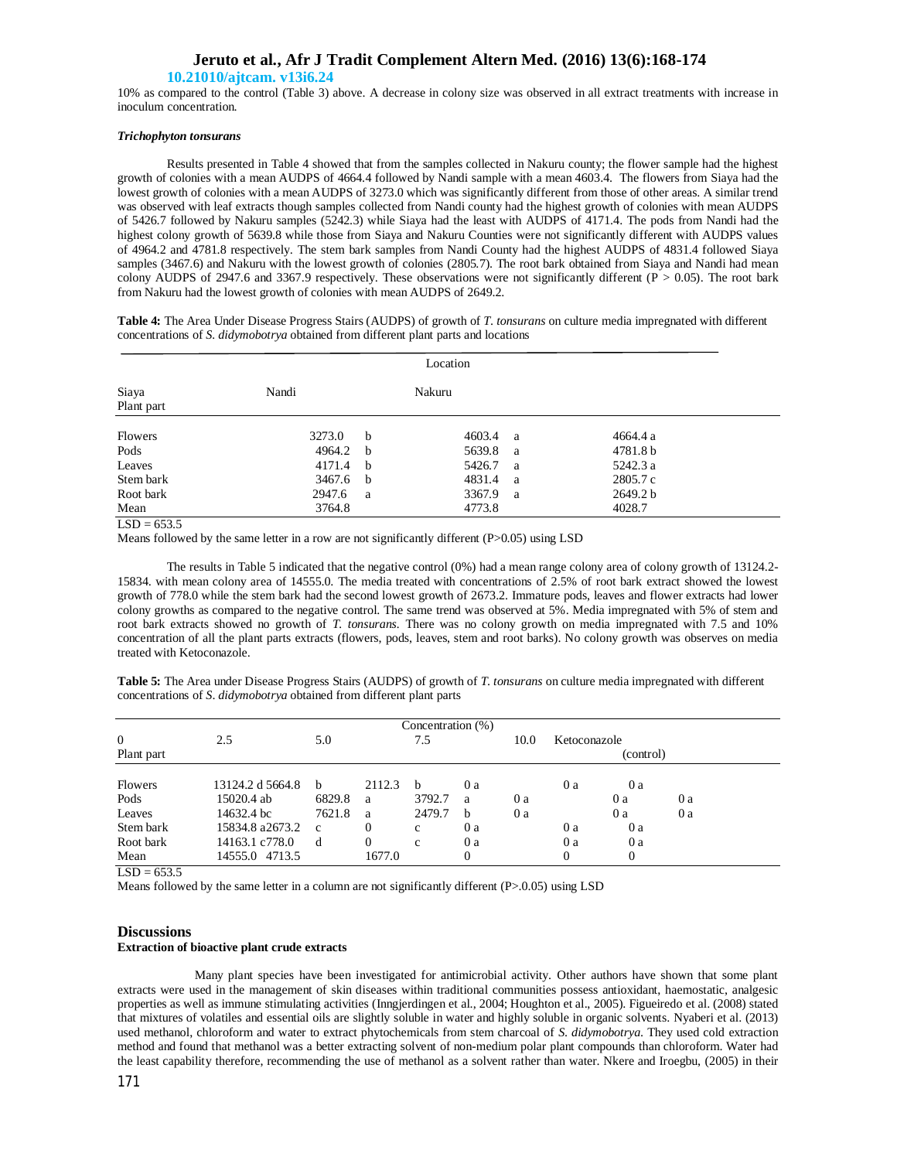## **10.21010/ajtcam. v13i6.24**

10% as compared to the control (Table 3) above. A decrease in colony size was observed in all extract treatments with increase in inoculum concentration.

### *Trichophyton tonsurans*

Results presented in Table 4 showed that from the samples collected in Nakuru county; the flower sample had the highest growth of colonies with a mean AUDPS of 4664.4 followed by Nandi sample with a mean 4603.4. The flowers from Siaya had the lowest growth of colonies with a mean AUDPS of 3273.0 which was significantly different from those of other areas. A similar trend was observed with leaf extracts though samples collected from Nandi county had the highest growth of colonies with mean AUDPS of 5426.7 followed by Nakuru samples (5242.3) while Siaya had the least with AUDPS of 4171.4. The pods from Nandi had the highest colony growth of 5639.8 while those from Siaya and Nakuru Counties were not significantly different with AUDPS values of 4964.2 and 4781.8 respectively. The stem bark samples from Nandi County had the highest AUDPS of 4831.4 followed Siaya samples (3467.6) and Nakuru with the lowest growth of colonies (2805.7). The root bark obtained from Siaya and Nandi had mean colony AUDPS of 2947.6 and 3367.9 respectively. These observations were not significantly different ( $P > 0.05$ ). The root bark from Nakuru had the lowest growth of colonies with mean AUDPS of 2649.2.

**Table 4:** The Area Under Disease Progress Stairs (AUDPS) of growth of *T*. *tonsurans* on culture media impregnated with different concentrations of *S. didymobotrya* obtained from different plant parts and locations

| Location            |        |             |        |              |          |  |  |
|---------------------|--------|-------------|--------|--------------|----------|--|--|
| Siaya<br>Plant part | Nandi  |             | Nakuru |              |          |  |  |
| <b>Flowers</b>      | 3273.0 | $\mathbf b$ | 4603.4 | <sub>a</sub> | 4664.4 a |  |  |
| Pods                | 4964.2 | h           | 5639.8 | a            | 4781.8 b |  |  |
| Leaves              | 4171.4 | b           | 5426.7 | - a          | 5242.3 a |  |  |
| Stem bark           | 3467.6 | b           | 4831.4 | - a          | 2805.7 c |  |  |
| Root bark           | 2947.6 | a           | 3367.9 | <sub>a</sub> | 2649.2 b |  |  |
| Mean                | 3764.8 |             | 4773.8 |              | 4028.7   |  |  |

 $LSD = 653.5$ 

Means followed by the same letter in a row are not significantly different (P>0.05) using LSD

The results in Table 5 indicated that the negative control (0%) had a mean range colony area of colony growth of 13124.2- 15834. with mean colony area of 14555.0. The media treated with concentrations of 2.5% of root bark extract showed the lowest growth of 778.0 while the stem bark had the second lowest growth of 2673.2. Immature pods, leaves and flower extracts had lower colony growths as compared to the negative control. The same trend was observed at 5%. Media impregnated with 5% of stem and root bark extracts showed no growth of *T. tonsurans.* There was no colony growth on media impregnated with 7.5 and 10% concentration of all the plant parts extracts (flowers, pods, leaves, stem and root barks). No colony growth was observes on media treated with Ketoconazole.

**Table 5:** The Area under Disease Progress Stairs (AUDPS) of growth of *T*. *tonsurans* on culture media impregnated with different concentrations of *S*. *didymobotrya* obtained from different plant parts

| $\mathbf{0}$<br>Plant part                                         | 2.5                                                                                                 | 5.0                                         |                                      | Concentration (%)<br>7.5        |                                      | 10.0     | Ketoconazole        | (control)                       |          |  |
|--------------------------------------------------------------------|-----------------------------------------------------------------------------------------------------|---------------------------------------------|--------------------------------------|---------------------------------|--------------------------------------|----------|---------------------|---------------------------------|----------|--|
| <b>Flowers</b><br>Pods<br>Leaves<br>Stem bark<br>Root bark<br>Mean | 13124.2 d 5664.8<br>15020.4 ab<br>14632.4 bc<br>15834.8 a2673.2<br>14163.1 c778.0<br>14555.0 4713.5 | <sub>b</sub><br>6829.8<br>7621.8<br>c<br>-d | 2112.3<br>a<br>a<br>0<br>0<br>1677.0 | h<br>3792.7<br>2479.7<br>c<br>c | 0a<br>a<br>h<br>0a<br>0a<br>$\theta$ | 0a<br>0a | 0a<br>0a<br>0a<br>0 | 0a<br>0a<br>0a<br>0a<br>0a<br>0 | 0a<br>0a |  |

 $LSD = 653.5$ 

Means followed by the same letter in a column are not significantly different (P>.0.05) using LSD

### **Discussions Extraction of bioactive plant crude extracts**

Many plant species have been investigated for antimicrobial activity. Other authors have shown that some plant extracts were used in the management of skin diseases within traditional communities possess antioxidant, haemostatic, analgesic properties as well as immune stimulating activities (Inngjerdingen et al., 2004; Houghton et al., 2005). Figueiredo et al. (2008) stated that mixtures of volatiles and essential oils are slightly soluble in water and highly soluble in organic solvents. Nyaberi et al. (2013) used methanol, chloroform and water to extract phytochemicals from stem charcoal of *S*. *didymobotrya*. They used cold extraction method and found that methanol was a better extracting solvent of non-medium polar plant compounds than chloroform. Water had the least capability therefore, recommending the use of methanol as a solvent rather than water. Nkere and Iroegbu, (2005) in their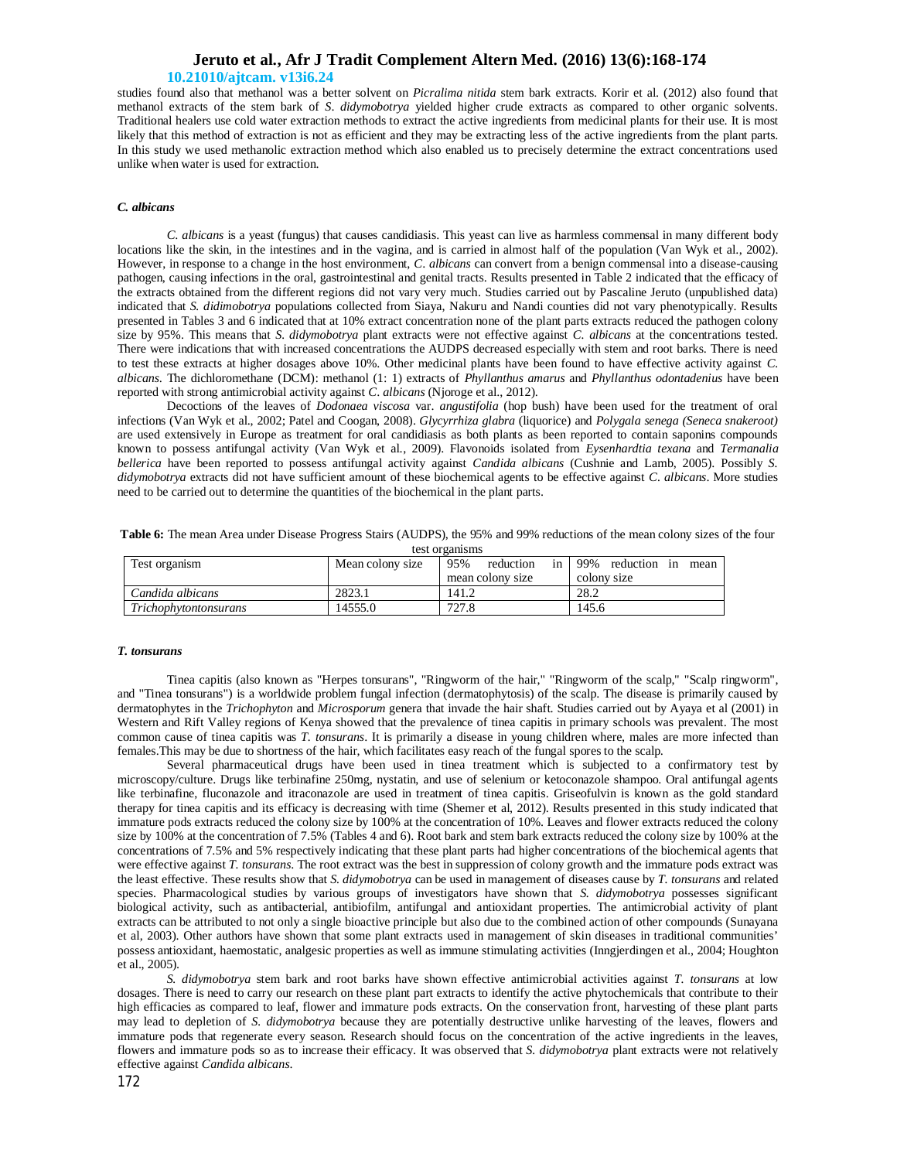### **10.21010/ajtcam. v13i6.24**

studies found also that methanol was a better solvent on *Picralima nitida* stem bark extracts. Korir et al. (2012) also found that methanol extracts of the stem bark of *S*. *didymobotrya* yielded higher crude extracts as compared to other organic solvents. Traditional healers use cold water extraction methods to extract the active ingredients from medicinal plants for their use. It is most likely that this method of extraction is not as efficient and they may be extracting less of the active ingredients from the plant parts. In this study we used methanolic extraction method which also enabled us to precisely determine the extract concentrations used unlike when water is used for extraction.

### *C. albicans*

*C*. *albicans* is a yeast (fungus) that causes candidiasis. This yeast can live as harmless commensal in many different body locations like the skin, in the intestines and in the vagina, and is carried in almost half of the population (Van Wyk et al., 2002). However, in response to a change in the host environment, *C*. *albicans* can convert from a benign commensal into a disease-causing pathogen, causing infections in the oral, gastrointestinal and genital tracts. Results presented in Table 2 indicated that the efficacy of the extracts obtained from the different regions did not vary very much. Studies carried out by Pascaline Jeruto (unpublished data) indicated that *S. didimobotrya* populations collected from Siaya, Nakuru and Nandi counties did not vary phenotypically. Results presented in Tables 3 and 6 indicated that at 10% extract concentration none of the plant parts extracts reduced the pathogen colony size by 95%. This means that *S. didymobotrya* plant extracts were not effective against *C. albicans* at the concentrations tested. There were indications that with increased concentrations the AUDPS decreased especially with stem and root barks. There is need to test these extracts at higher dosages above 10%. Other medicinal plants have been found to have effective activity against *C. albicans*. The dichloromethane (DCM): methanol (1: 1) extracts of *Phyllanthus amarus* and *Phyllanthus odontadenius* have been reported with strong antimicrobial activity against *C*. *albicans* (Njoroge et al., 2012).

Decoctions of the leaves of *Dodonaea viscosa* var. *angustifolia* (hop bush) have been used for the treatment of oral infections (Van Wyk et al., 2002; Patel and Coogan, 2008). *Glycyrrhiza glabra* (liquorice) and *Polygala senega (Seneca snakeroot)*  are used extensively in Europe as treatment for oral candidiasis as both plants as been reported to contain saponins compounds known to possess antifungal activity (Van Wyk et al., 2009). Flavonoids isolated from *Eysenhardtia texana* and *Termanalia bellerica* have been reported to possess antifungal activity against *Candida albicans* (Cushnie and Lamb, 2005). Possibly *S. didymobotrya* extracts did not have sufficient amount of these biochemical agents to be effective against *C. albicans*. More studies need to be carried out to determine the quantities of the biochemical in the plant parts.

**Table 6:** The mean Area under Disease Progress Stairs (AUDPS), the 95% and 99% reductions of the mean colony sizes of the four test organisms

| Test organism                | Mean colony size | 95%<br>reduction<br>in l | 199% reduction in mean |
|------------------------------|------------------|--------------------------|------------------------|
|                              |                  | mean colony size         | colony size            |
| Candida albicans             | 2823.1           | 141.2                    | 28.2                   |
| <i>Trichophytontonsurans</i> | 14555.0          | 727.8                    | 145.6                  |

#### *T. tonsurans*

Tinea capitis (also known as "Herpes tonsurans", "Ringworm of the hair," "Ringworm of the scalp," "Scalp ringworm", and "Tinea tonsurans") is a worldwide problem fungal infection (dermatophytosis) of the scalp. The disease is primarily caused by dermatophytes in the *Trichophyton* and *Microsporum* genera that invade the hair shaft. Studies carried out by Ayaya et al (2001) in Western and Rift Valley regions of Kenya showed that the prevalence of tinea capitis in primary schools was prevalent. The most common cause of tinea capitis was *T. tonsurans*. It is primarily a disease in young children where, males are more infected than females.This may be due to shortness of the hair, which facilitates easy reach of the fungal spores to the scalp.

Several pharmaceutical drugs have been used in tinea treatment which is subjected to a confirmatory test by microscopy/culture. Drugs like terbinafine 250mg, nystatin, and use of selenium or ketoconazole shampoo. Oral antifungal agents like terbinafine, fluconazole and itraconazole are used in treatment of tinea capitis. Griseofulvin is known as the gold standard therapy for tinea capitis and its efficacy is decreasing with time (Shemer et al, 2012). Results presented in this study indicated that immature pods extracts reduced the colony size by 100% at the concentration of 10%. Leaves and flower extracts reduced the colony size by 100% at the concentration of 7.5% (Tables 4 and 6). Root bark and stem bark extracts reduced the colony size by 100% at the concentrations of 7.5% and 5% respectively indicating that these plant parts had higher concentrations of the biochemical agents that were effective against *T. tonsurans*. The root extract was the best in suppression of colony growth and the immature pods extract was the least effective. These results show that *S. didymobotrya* can be used in management of diseases cause by *T. tonsurans* and related species. Pharmacological studies by various groups of investigators have shown that *S. didymobotrya* possesses significant biological activity, such as antibacterial, antibiofilm, antifungal and antioxidant properties. The antimicrobial activity of plant extracts can be attributed to not only a single bioactive principle but also due to the combined action of other compounds (Sunayana et al, 2003). Other authors have shown that some plant extracts used in management of skin diseases in traditional communities' possess antioxidant, haemostatic, analgesic properties as well as immune stimulating activities (Inngjerdingen et al., 2004; Houghton et al., 2005).

*S. didymobotrya* stem bark and root barks have shown effective antimicrobial activities against *T. tonsurans* at low dosages. There is need to carry our research on these plant part extracts to identify the active phytochemicals that contribute to their high efficacies as compared to leaf, flower and immature pods extracts. On the conservation front, harvesting of these plant parts may lead to depletion of *S. didymobotrya* because they are potentially destructive unlike harvesting of the leaves, flowers and immature pods that regenerate every season. Research should focus on the concentration of the active ingredients in the leaves, flowers and immature pods so as to increase their efficacy. It was observed that *S. didymobotrya* plant extracts were not relatively effective against *Candida albicans*.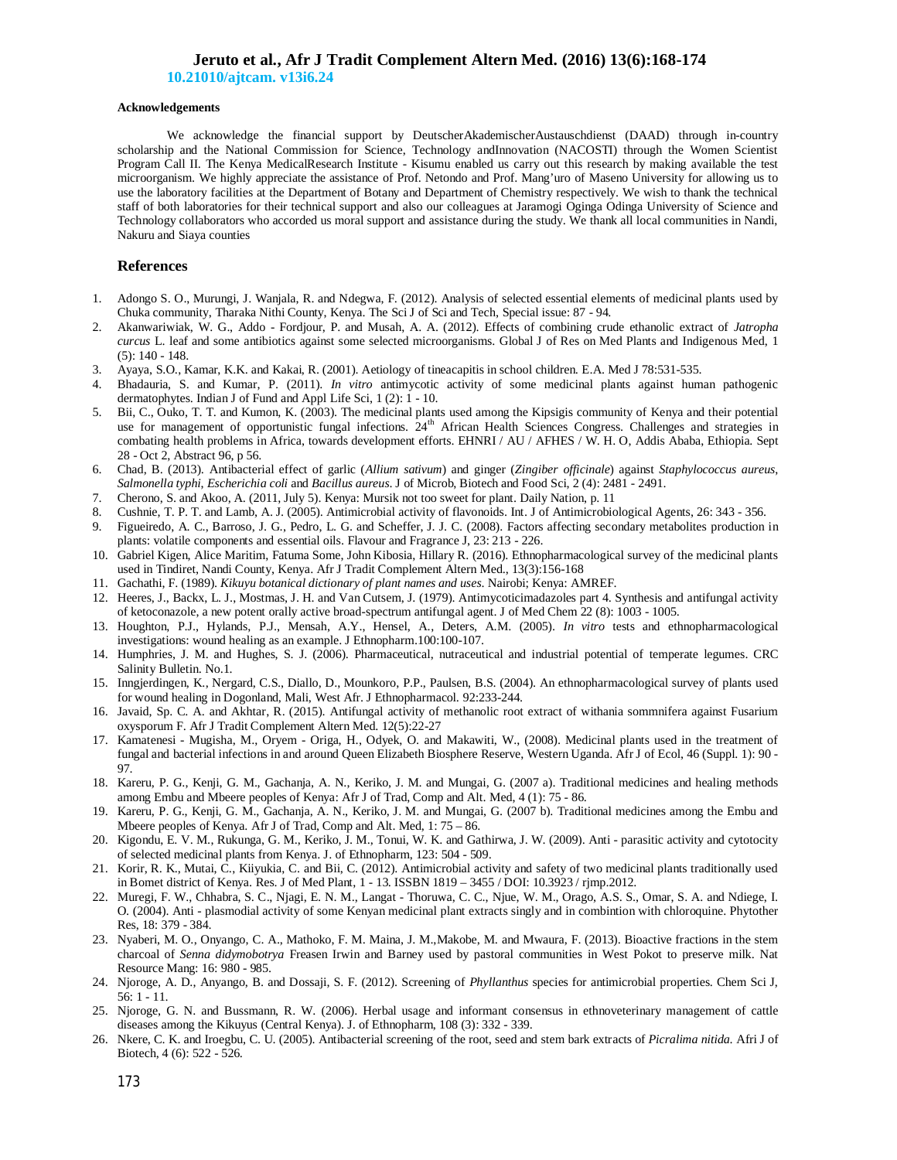**10.21010/ajtcam. v13i6.24**

### **Acknowledgements**

We acknowledge the financial support by DeutscherAkademischerAustauschdienst (DAAD) through in-country scholarship and the National Commission for Science, Technology andInnovation (NACOSTI) through the Women Scientist Program Call II. The Kenya MedicalResearch Institute - Kisumu enabled us carry out this research by making available the test microorganism. We highly appreciate the assistance of Prof. Netondo and Prof. Mang'uro of Maseno University for allowing us to use the laboratory facilities at the Department of Botany and Department of Chemistry respectively. We wish to thank the technical staff of both laboratories for their technical support and also our colleagues at Jaramogi Oginga Odinga University of Science and Technology collaborators who accorded us moral support and assistance during the study. We thank all local communities in Nandi, Nakuru and Siaya counties

## **References**

- 1. Adongo S. O., Murungi, J. Wanjala, R. and Ndegwa, F. (2012). Analysis of selected essential elements of medicinal plants used by Chuka community, Tharaka Nithi County, Kenya. The Sci J of Sci and Tech, Special issue: 87 - 94.
- 2. Akanwariwiak, W. G., Addo Fordjour, P. and Musah, A. A. (2012). Effects of combining crude ethanolic extract of *Jatropha curcus* L. leaf and some antibiotics against some selected microorganisms. Global J of Res on Med Plants and Indigenous Med, 1 (5): 140 - 148.
- 3. Ayaya, S.O., Kamar, K.K. and Kakai, R. (2001). Aetiology of tineacapitis in school children. E.A. Med J 78:531-535.
- 4. Bhadauria, S. and Kumar, P. (2011). *In vitro* antimycotic activity of some medicinal plants against human pathogenic dermatophytes. Indian J of Fund and Appl Life Sci, 1 (2): 1 - 10.
- 5. Bii, C., Ouko, T. T. and Kumon, K. (2003). The medicinal plants used among the Kipsigis community of Kenya and their potential use for management of opportunistic fungal infections. 24<sup>th</sup> African Health Sciences Congress. Challenges and strategies in combating health problems in Africa, towards development efforts. EHNRI / AU / AFHES / W. H. O, Addis Ababa, Ethiopia. Sept 28 - Oct 2, Abstract 96, p 56.
- 6. Chad, B. (2013). Antibacterial effect of garlic (*Allium sativum*) and ginger (*Zingiber officinale*) against *Staphylococcus aureus*, *Salmonella typhi*, *Escherichia coli* and *Bacillus aureus*. J of Microb, Biotech and Food Sci, 2 (4): 2481 - 2491.
- 7. Cherono, S. and Akoo, A. (2011, July 5). Kenya: Mursik not too sweet for plant. Daily Nation, p. 11
- 8. Cushnie, T. P. T. and Lamb, A. J. (2005). Antimicrobial activity of flavonoids. Int. J of Antimicrobiological Agents, 26: 343 356.
- 9. Figueiredo, A. C., Barroso, J. G., Pedro, L. G. and Scheffer, J. J. C. (2008). Factors affecting secondary metabolites production in plants: volatile components and essential oils. Flavour and Fragrance J, 23: 213 - 226.
- 10. Gabriel Kigen, Alice Maritim, Fatuma Some, John Kibosia, Hillary R. (2016). Ethnopharmacological survey of the medicinal plants used in Tindiret, Nandi County, Kenya. Afr J Tradit Complement Altern Med., 13(3):156-168
- 11. Gachathi, F. (1989). *Kikuyu botanical dictionary of plant names and uses*. Nairobi; Kenya: AMREF.
- 12. Heeres, J., Backx, L. J., Mostmas, J. H. and Van Cutsem, J. (1979). Antimycoticimadazoles part 4. Synthesis and antifungal activity of ketoconazole, a new potent orally active broad-spectrum antifungal agent. J of Med Chem 22 (8): 1003 - 1005.
- 13. Houghton, P.J., Hylands, P.J., Mensah, A.Y., Hensel, A., Deters, A.M. (2005). *In vitro* tests and ethnopharmacological investigations: wound healing as an example. J Ethnopharm.100:100-107.
- 14. Humphries, J. M. and Hughes, S. J. (2006). Pharmaceutical, nutraceutical and industrial potential of temperate legumes. CRC Salinity Bulletin. No.1.
- 15. Inngjerdingen, K., Nergard, C.S., Diallo, D., Mounkoro, P.P., Paulsen, B.S. (2004). An ethnopharmacological survey of plants used for wound healing in Dogonland, Mali, West Afr. J Ethnopharmacol. 92:233-244.
- 16. Javaid, Sp. C. A. and Akhtar, R. (2015). Antifungal activity of methanolic root extract of withania sommnifera against Fusarium oxysporum F. Afr J Tradit Complement Altern Med. 12(5):22-27
- 17. Kamatenesi Mugisha, M., Oryem Origa, H., Odyek, O. and Makawiti, W., (2008). Medicinal plants used in the treatment of fungal and bacterial infections in and around Queen Elizabeth Biosphere Reserve, Western Uganda. Afr J of Ecol, 46 (Suppl. 1): 90 - 97.
- 18. Kareru, P. G., Kenji, G. M., Gachanja, A. N., Keriko, J. M. and Mungai, G. (2007 a). Traditional medicines and healing methods among Embu and Mbeere peoples of Kenya: Afr J of Trad, Comp and Alt. Med, 4 (1): 75 - 86.
- 19. Kareru, P. G., Kenji, G. M., Gachanja, A. N., Keriko, J. M. and Mungai, G. (2007 b). Traditional medicines among the Embu and Mbeere peoples of Kenya. Afr J of Trad, Comp and Alt. Med, 1: 75 – 86.
- 20. Kigondu, E. V. M., Rukunga, G. M., Keriko, J. M., Tonui, W. K. and Gathirwa, J. W. (2009). Anti parasitic activity and cytotocity of selected medicinal plants from Kenya. J. of Ethnopharm, 123: 504 - 509.
- 21. Korir, R. K., Mutai, C., Kiiyukia, C. and Bii, C. (2012). Antimicrobial activity and safety of two medicinal plants traditionally used in Bomet district of Kenya. Res. J of Med Plant, 1 - 13. ISSBN 1819 – 3455 / DOI: 10.3923 / rjmp.2012.
- 22. Muregi, F. W., Chhabra, S. C., Njagi, E. N. M., Langat Thoruwa, C. C., Njue, W. M., Orago, A.S. S., Omar, S. A. and Ndiege, I. O. (2004). Anti - plasmodial activity of some Kenyan medicinal plant extracts singly and in combintion with chloroquine. Phytother Res, 18: 379 - 384.
- 23. Nyaberi, M. O., Onyango, C. A., Mathoko, F. M. Maina, J. M.,Makobe, M. and Mwaura, F. (2013). Bioactive fractions in the stem charcoal of *Senna didymobotrya* Freasen Irwin and Barney used by pastoral communities in West Pokot to preserve milk. Nat Resource Mang: 16: 980 - 985.
- 24. Njoroge, A. D., Anyango, B. and Dossaji, S. F. (2012). Screening of *Phyllanthus* species for antimicrobial properties. Chem Sci J, 56: 1 - 11.
- 25. Njoroge, G. N. and Bussmann, R. W. (2006). Herbal usage and informant consensus in ethnoveterinary management of cattle diseases among the Kikuyus (Central Kenya). J. of Ethnopharm, 108 (3): 332 - 339.
- 26. Nkere, C. K. and Iroegbu, C. U. (2005). Antibacterial screening of the root, seed and stem bark extracts of *Picralima nitida*. Afri J of Biotech, 4 (6): 522 - 526.